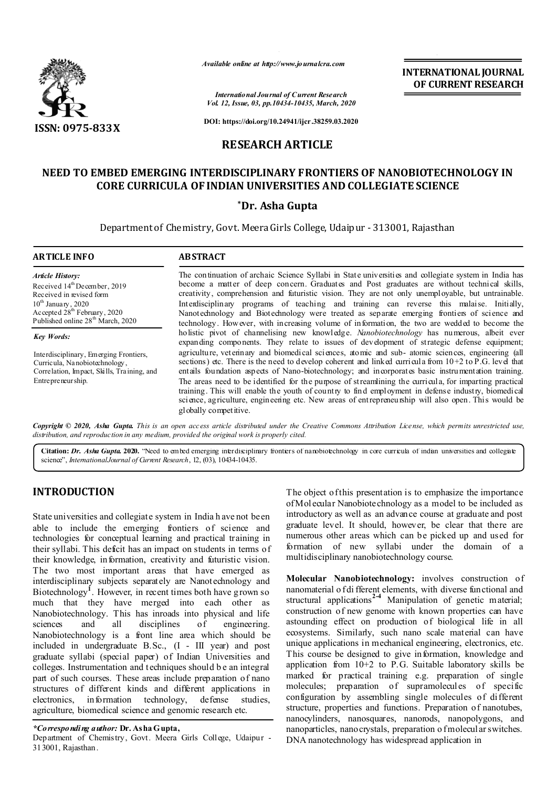

*Available online at http://www.journalcra.com*

*International Journal of Current Research Vol. 12, Issue, 03, pp.10434-10435, March, 2020* **INTERNATIONAL JOURNAL OF CURRENT RESEARCH**

**DOI: https://doi.org/10.24941/ijcr.38259.03.2020**

## **RESEARCH ARTICLE**

# **NEED TO EMBED EMERGING INTERDISCIPLINARY FRONTIERS OF NANOBIOTECHNOLOGY IN CORE CURRICULA OF INDIAN UNIVERSITIES AND COLLEGIATE SCIENCE**

## **\*Dr. Asha Gupta**

Department of Chemistry, Govt. Meera Girls College, Udaipur - 313001, Rajasthan

#### **ARTICLE INFO ABSTRACT**

*Article History:* Received 14<sup>th</sup> December, 2019 Received in revised form  $10^{th}$  January, 2020 Accepted 28<sup>th</sup> February, 2020 Published online 28<sup>th</sup> March, 2020

*Key Words:*

Interdisciplinary, Emerging Frontiers, Curricula, Nanobiotechnology, Correlation, Impact, Skills, Training, and Entrepreneurship.

The continuation of archaic Science Syllabi in State universities and collegiate system in India has become a matter of deep concern. Graduates and Post graduates are without technical skills, creativity, comprehension and futuristic vision. They are not only unemployable, but untrainable. Interdisciplinary programs of teaching and training can reverse this malaise. Initially, Nanotechnology and Biotechnology were treated as separate emerging frontiers of science and technology. However, with increasing volume of information, the two are wedded to become the holistic pivot of channelising new knowledge. *Nanobiotechnology* has numerous, albeit ever expanding components. They relate to issues of development of strategic defense equipment; agriculture, veterinary and biomedical sciences, atomic and sub- atomic sciences, engineering (all sections) etc. There is the need to develop coherent and linked curricula from  $10+2$  to P.G. level that entails foundation aspects of Nano-biotechnology; and incorporates basic instrumentation training. The areas need to be identified for the purpose of streamlining the curricula, for imparting practical training. This will enable the youth of country to find employment in defense industry, biomedical science, agriculture, engineering etc. New areas of entrepreneurship will also open. This would be globally competitive.

Copyright © 2020, Asha Gupta This is an open access article distributed under the Creative Commons Attribution License, which permits unrestricted use, *distribution, and reproduction in any medium, provided the original work is properly cited.*

Citation: Dr. Asha Gupta. 2020. "Need to embed emerging interdisciplinary frontiers of nanobiotechnology in core curricula of indian universities and collegiate science", *InternationalJournal of Current Research*, 12, (03), 10434-10435.

# **INTRODUCTION**

State universities and collegiate system in India h ave not been able to include the emerging frontiers of science and technologies for conceptual learning and practical training in their syllabi. This deficit has an impact on students in terms of their knowledge, information, creativity and futuristic vision. The two most important areas that have emerged as interdisciplinary subjects separately are Nanotechnology and Biotechnology**<sup>1</sup>** . However, in recent times both have grown so much that they have merged into each other as Nanobiotechnology. This has inroads into physical and life sciences and all disciplines of engineering. Nanobiotechnology is a front line area which should be included in undergraduate B.Sc., (I - III year) and post graduate syllabi (special paper) of Indian Universities and colleges. Instrumentation and t echniques should b e an integral part of such courses. These areas include preparation of nano structures of different kinds and different applications in electronics, information technology, defense studies, agriculture, biomedical science and genomic research etc.

## *\*Corresponding author:* **Dr. Asha Gupta,**

Department of Chemistry, Govt. Meera Girls College, Udaipur - 313001, Rajasthan.

The object of this presentation is to emphasize the importance of Molecular Nanobiotechnology as a model to be included as introductory as well as an advance course at graduate and post graduate level. It should, however, be clear that there are numerous other areas which can be picked up and used for formation of new syllabi under the domain of a multidisciplinary nanobiotechnology course.

**Molecular Nanobiotechnology:** involves construction of nanomaterial o f di fferent elements, with diverse functional and structural applications<sup>24</sup> Manipulation of genetic material; construction of new genome with known properties can have astounding effect on production of biological life in all ecosystems. Similarly, such nano scale material can have unique applications in mechanical engineering, electronics, etc. This course be designed to give information, knowledge and application from  $10+2$  to P.G. Suitable laboratory skills be marked for practical training e.g. preparation of single molecules; preparation of supramolecules of specific configuration by assembling single molecules of different structure, properties and functions. Preparation of nanotubes, nanocylinders, nanosquares, nanorods, nanopolygons, and nanoparticles, nano crystals, preparation o fmolecular switches. DNA nanotechnology has widespread application in